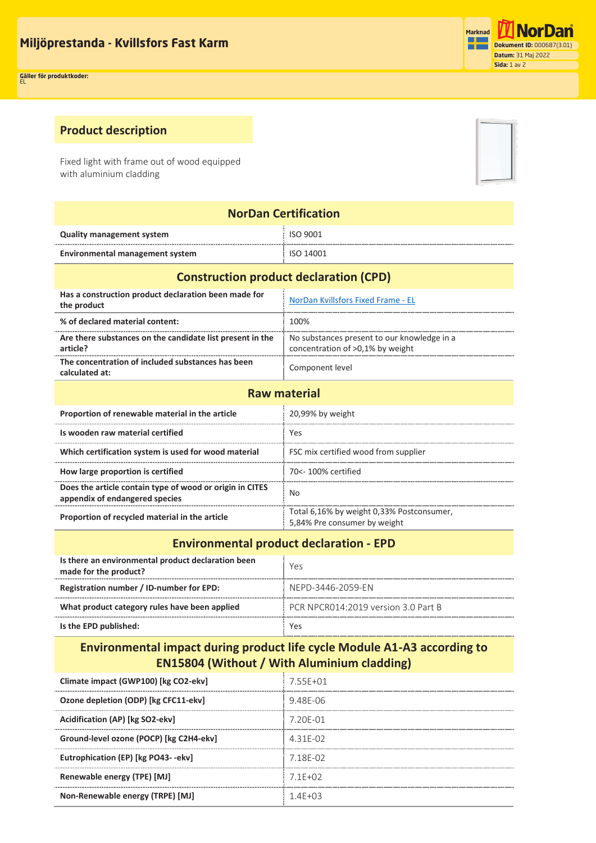## **Product description**

Fixed light with frame out of wood equipped with aluminium cladding

| <b>NorDan Certification</b>                                                                |                                                                                 |  |  |  |
|--------------------------------------------------------------------------------------------|---------------------------------------------------------------------------------|--|--|--|
| <b>Quality management system</b>                                                           | ISO 9001                                                                        |  |  |  |
| <b>Environmental management system</b>                                                     | ISO 14001                                                                       |  |  |  |
| <b>Construction product declaration (CPD)</b>                                              |                                                                                 |  |  |  |
| Has a construction product declaration been made for<br>the product                        | NorDan Kvillsfors Fixed Frame - EL                                              |  |  |  |
| % of declared material content:                                                            | 100%                                                                            |  |  |  |
| Are there substances on the candidate list present in the<br>article?                      | No substances present to our knowledge in a<br>concentration of >0,1% by weight |  |  |  |
| The concentration of included substances has been<br>calculated at:                        | Component level                                                                 |  |  |  |
| <b>Raw material</b>                                                                        |                                                                                 |  |  |  |
| Proportion of renewable material in the article                                            | 20,99% by weight                                                                |  |  |  |
| Is wooden raw material certified                                                           | Yes                                                                             |  |  |  |
| Which certification system is used for wood material                                       | FSC mix certified wood from supplier                                            |  |  |  |
| How large proportion is certified                                                          | 70<- 100% certified                                                             |  |  |  |
| Does the article contain type of wood or origin in CITES<br>appendix of endangered species | <b>No</b>                                                                       |  |  |  |
| Proportion of recycled material in the article                                             | Total 6,16% by weight 0,33% Postconsumer,<br>5,84% Pre consumer by weight       |  |  |  |
| .                                                                                          |                                                                                 |  |  |  |

## **Environmental product declaration - EPD**

| Is there an environmental product declaration been<br>made for the product? | Yes                                 |
|-----------------------------------------------------------------------------|-------------------------------------|
| Registration number / ID-number for EPD:                                    | NFPD-3446-2059-FN                   |
| What product category rules have been applied                               | PCR NPCR014:2019 version 3.0 Part B |
| Is the EPD published:                                                       | Yes                                 |

## **Environmental impact during product life cycle Module A1-A3 according to EN15804 (Without / With Aluminium cladding)**

| Climate impact (GWP100) [kg CO2-ekv]    | 755F+01    |
|-----------------------------------------|------------|
| Ozone depletion (ODP) [kg CFC11-ekv]    | 948F-06    |
| Acidification (AP) [kg SO2-ekv]         | 7 20F-01   |
| Ground-level ozone (POCP) [kg C2H4-ekv] | 431F-02    |
| Eutrophication (EP) [kg PO43--ekv]      | 7 18F-02   |
| Renewable energy (TPE) [MJ]             | $71F+02$   |
| Non-Renewable energy (TRPE) [MJ]        | $14F + 03$ |